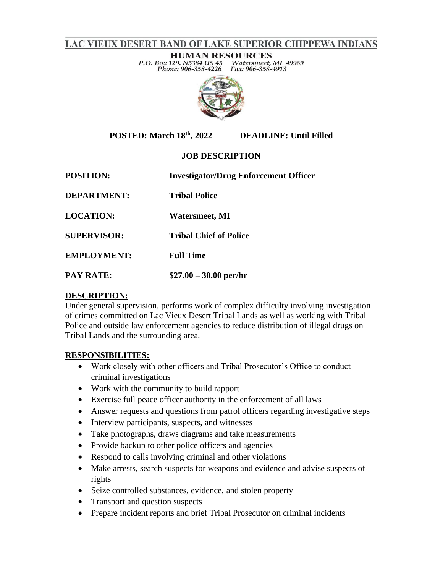### LAC VIEUX DESERT BAND OF LAKE SUPERIOR CHIPPEWA INDIANS

**HUMAN RESOURCES** P.O. Box 129, N5384 US 45 Watersmeet, MI 49969 Phone: 906-358-4226 Fax: 906-358-4913



**POSTED: March 18th, 2022 DEADLINE: Until Filled** 

### **JOB DESCRIPTION**

**POSITION: Investigator/Drug Enforcement Officer DEPARTMENT: Tribal Police LOCATION: Watersmeet, MI SUPERVISOR: Tribal Chief of Police EMPLOYMENT: Full Time PAY RATE: \$27.00 – 30.00 per/hr**

#### **DESCRIPTION:**

Under general supervision, performs work of complex difficulty involving investigation of crimes committed on Lac Vieux Desert Tribal Lands as well as working with Tribal Police and outside law enforcement agencies to reduce distribution of illegal drugs on Tribal Lands and the surrounding area.

#### **RESPONSIBILITIES:**

- Work closely with other officers and Tribal Prosecutor's Office to conduct criminal investigations
- Work with the community to build rapport
- Exercise full peace officer authority in the enforcement of all laws
- Answer requests and questions from patrol officers regarding investigative steps
- Interview participants, suspects, and witnesses
- Take photographs, draws diagrams and take measurements
- Provide backup to other police officers and agencies
- Respond to calls involving criminal and other violations
- Make arrests, search suspects for weapons and evidence and advise suspects of rights
- Seize controlled substances, evidence, and stolen property
- Transport and question suspects
- Prepare incident reports and brief Tribal Prosecutor on criminal incidents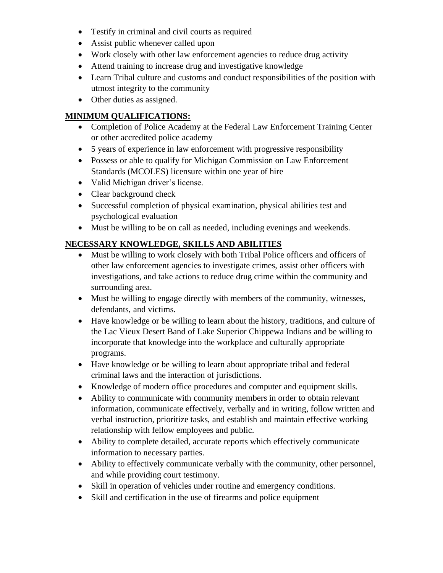- Testify in criminal and civil courts as required
- Assist public whenever called upon
- Work closely with other law enforcement agencies to reduce drug activity
- Attend training to increase drug and investigative knowledge
- Learn Tribal culture and customs and conduct responsibilities of the position with utmost integrity to the community
- Other duties as assigned.

# **MINIMUM QUALIFICATIONS:**

- Completion of Police Academy at the Federal Law Enforcement Training Center or other accredited police academy
- 5 years of experience in law enforcement with progressive responsibility
- Possess or able to qualify for Michigan Commission on Law Enforcement Standards (MCOLES) licensure within one year of hire
- Valid Michigan driver's license.
- Clear background check
- Successful completion of physical examination, physical abilities test and psychological evaluation
- Must be willing to be on call as needed, including evenings and weekends.

# **NECESSARY KNOWLEDGE, SKILLS AND ABILITIES**

- Must be willing to work closely with both Tribal Police officers and officers of other law enforcement agencies to investigate crimes, assist other officers with investigations, and take actions to reduce drug crime within the community and surrounding area.
- Must be willing to engage directly with members of the community, witnesses, defendants, and victims.
- Have knowledge or be willing to learn about the history, traditions, and culture of the Lac Vieux Desert Band of Lake Superior Chippewa Indians and be willing to incorporate that knowledge into the workplace and culturally appropriate programs.
- Have knowledge or be willing to learn about appropriate tribal and federal criminal laws and the interaction of jurisdictions.
- Knowledge of modern office procedures and computer and equipment skills.
- Ability to communicate with community members in order to obtain relevant information, communicate effectively, verbally and in writing, follow written and verbal instruction, prioritize tasks, and establish and maintain effective working relationship with fellow employees and public.
- Ability to complete detailed, accurate reports which effectively communicate information to necessary parties.
- Ability to effectively communicate verbally with the community, other personnel, and while providing court testimony.
- Skill in operation of vehicles under routine and emergency conditions.
- Skill and certification in the use of firearms and police equipment